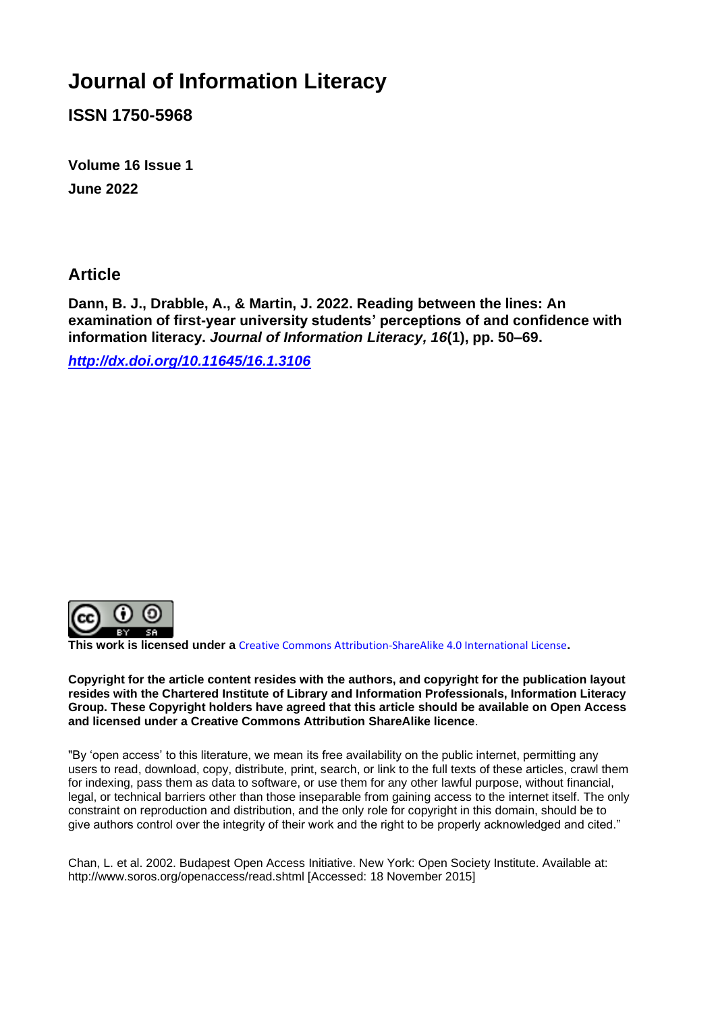# **Journal of Information Literacy**

**ISSN 1750-5968**

**Volume 16 Issue 1 June 2022**

### **Article**

**Dann, B. J., Drabble, A., & Martin, J. 2022. Reading between the lines: An examination of first-year university students' perceptions of and confidence with information literacy.** *Journal of Information Literacy, 16***(1), pp. 50–69.**

*<http://dx.doi.org/10.11645/16.1.3106>*



**This work is licensed under a** [Creative Commons Attribution-ShareAlike 4.0 International License](http://creativecommons.org/licenses/by-sa/4.0/)**.**

**Copyright for the article content resides with the authors, and copyright for the publication layout resides with the Chartered Institute of Library and Information Professionals, Information Literacy Group. These Copyright holders have agreed that this article should be available on Open Access and licensed under a Creative Commons Attribution ShareAlike licence**.

"By 'open access' to this literature, we mean its free availability on the public internet, permitting any users to read, download, copy, distribute, print, search, or link to the full texts of these articles, crawl them for indexing, pass them as data to software, or use them for any other lawful purpose, without financial, legal, or technical barriers other than those inseparable from gaining access to the internet itself. The only constraint on reproduction and distribution, and the only role for copyright in this domain, should be to give authors control over the integrity of their work and the right to be properly acknowledged and cited."

Chan, L. et al. 2002. Budapest Open Access Initiative. New York: Open Society Institute. Available at: http://www.soros.org/openaccess/read.shtml [Accessed: 18 November 2015]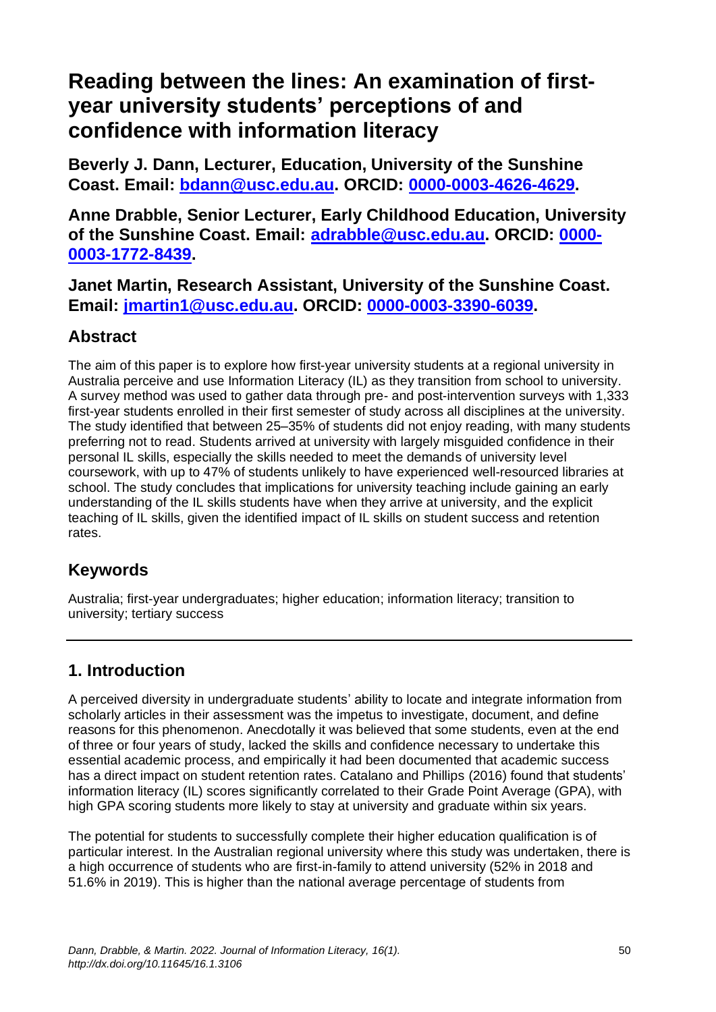# **Reading between the lines: An examination of firstyear university students' perceptions of and confidence with information literacy**

**Beverly J. Dann, Lecturer, Education, University of the Sunshine Coast. Email: [bdann@usc.edu.au.](mailto:bdann@usc.edu.au) ORCID: [0000-0003-4626-4629.](https://orcid.org/0000-0003-4626-4629)**

**Anne Drabble, Senior Lecturer, Early Childhood Education, University of the Sunshine Coast. Email: [adrabble@usc.edu.au.](mailto:adrabble@usc.edu.au) ORCID: [0000-](https://orcid.org/0000-0003-1772-8439) [0003-1772-8439.](https://orcid.org/0000-0003-1772-8439)**

**Janet Martin, Research Assistant, University of the Sunshine Coast. Email: [jmartin1@usc.edu.au.](mailto:jmartin1@usc.edu.au) ORCID: [0000-0003-3390-6039.](https://orcid.org/0000-0003-3390-6039)**

# **Abstract**

The aim of this paper is to explore how first-year university students at a regional university in Australia perceive and use Information Literacy (IL) as they transition from school to university. A survey method was used to gather data through pre- and post-intervention surveys with 1,333 first-year students enrolled in their first semester of study across all disciplines at the university. The study identified that between 25–35% of students did not enjoy reading, with many students preferring not to read. Students arrived at university with largely misguided confidence in their personal IL skills, especially the skills needed to meet the demands of university level coursework, with up to 47% of students unlikely to have experienced well-resourced libraries at school. The study concludes that implications for university teaching include gaining an early understanding of the IL skills students have when they arrive at university, and the explicit teaching of IL skills, given the identified impact of IL skills on student success and retention rates.

# **Keywords**

Australia; first-year undergraduates; higher education; information literacy; transition to university; tertiary success

# **1. Introduction**

A perceived diversity in undergraduate students' ability to locate and integrate information from scholarly articles in their assessment was the impetus to investigate, document, and define reasons for this phenomenon. Anecdotally it was believed that some students, even at the end of three or four years of study, lacked the skills and confidence necessary to undertake this essential academic process, and empirically it had been documented that academic success has a direct impact on student retention rates. Catalano and Phillips (2016) found that students' information literacy (IL) scores significantly correlated to their Grade Point Average (GPA), with high GPA scoring students more likely to stay at university and graduate within six years.

The potential for students to successfully complete their higher education qualification is of particular interest. In the Australian regional university where this study was undertaken, there is a high occurrence of students who are first-in-family to attend university (52% in 2018 and 51.6% in 2019). This is higher than the national average percentage of students from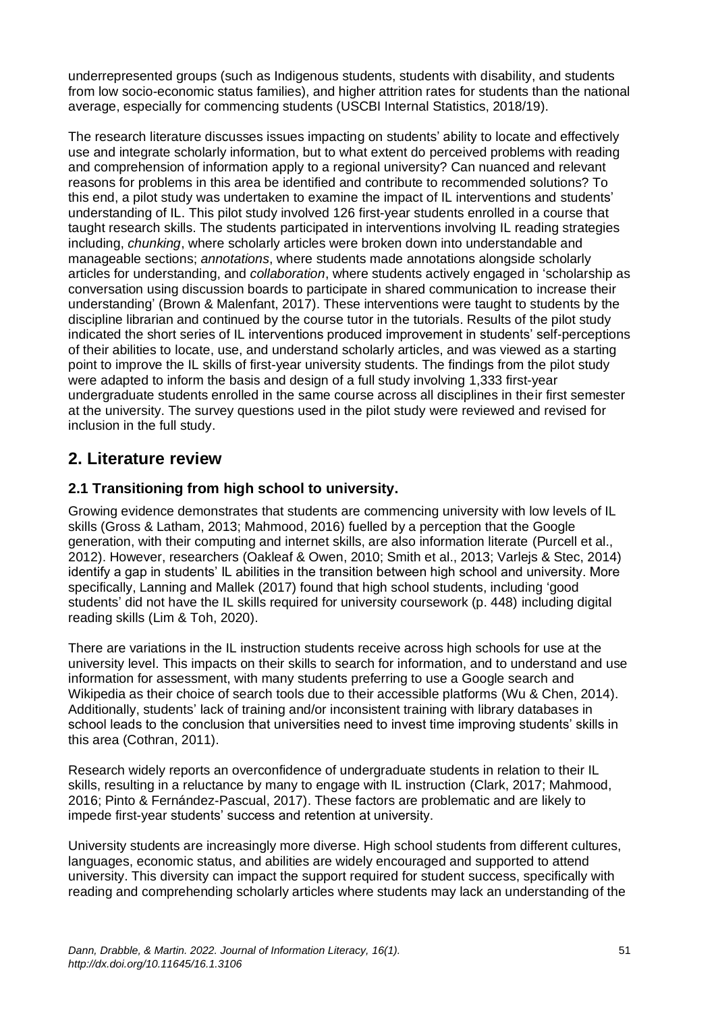underrepresented groups (such as Indigenous students, students with disability, and students from low socio-economic status families), and higher attrition rates for students than the national average, especially for commencing students (USCBI Internal Statistics, 2018/19).

The research literature discusses issues impacting on students' ability to locate and effectively use and integrate scholarly information, but to what extent do perceived problems with reading and comprehension of information apply to a regional university? Can nuanced and relevant reasons for problems in this area be identified and contribute to recommended solutions? To this end, a pilot study was undertaken to examine the impact of IL interventions and students' understanding of IL. This pilot study involved 126 first-year students enrolled in a course that taught research skills. The students participated in interventions involving IL reading strategies including, *chunking*, where scholarly articles were broken down into understandable and manageable sections; *annotations*, where students made annotations alongside scholarly articles for understanding, and *collaboration*, where students actively engaged in 'scholarship as conversation using discussion boards to participate in shared communication to increase their understanding' (Brown & Malenfant, 2017). These interventions were taught to students by the discipline librarian and continued by the course tutor in the tutorials. Results of the pilot study indicated the short series of IL interventions produced improvement in students' self-perceptions of their abilities to locate, use, and understand scholarly articles, and was viewed as a starting point to improve the IL skills of first-year university students. The findings from the pilot study were adapted to inform the basis and design of a full study involving 1,333 first-year undergraduate students enrolled in the same course across all disciplines in their first semester at the university. The survey questions used in the pilot study were reviewed and revised for inclusion in the full study.

# **2. Literature review**

### **2.1 Transitioning from high school to university.**

Growing evidence demonstrates that students are commencing university with low levels of IL skills (Gross & Latham, 2013; Mahmood, 2016) fuelled by a perception that the Google generation, with their computing and internet skills, are also information literate (Purcell et al., 2012). However, researchers (Oakleaf & Owen, 2010; Smith et al., 2013; Varlejs & Stec, 2014) identify a gap in students' IL abilities in the transition between high school and university. More specifically, Lanning and Mallek (2017) found that high school students, including 'good students' did not have the IL skills required for university coursework (p. 448) including digital reading skills (Lim & Toh, 2020).

There are variations in the IL instruction students receive across high schools for use at the university level. This impacts on their skills to search for information, and to understand and use information for assessment, with many students preferring to use a Google search and Wikipedia as their choice of search tools due to their accessible platforms (Wu & Chen, 2014). Additionally, students' lack of training and/or inconsistent training with library databases in school leads to the conclusion that universities need to invest time improving students' skills in this area (Cothran, 2011).

Research widely reports an overconfidence of undergraduate students in relation to their IL skills, resulting in a reluctance by many to engage with IL instruction (Clark, 2017; Mahmood, 2016; Pinto & Fernández-Pascual, 2017). These factors are problematic and are likely to impede first-year students' success and retention at university.

University students are increasingly more diverse. High school students from different cultures, languages, economic status, and abilities are widely encouraged and supported to attend university. This diversity can impact the support required for student success, specifically with reading and comprehending scholarly articles where students may lack an understanding of the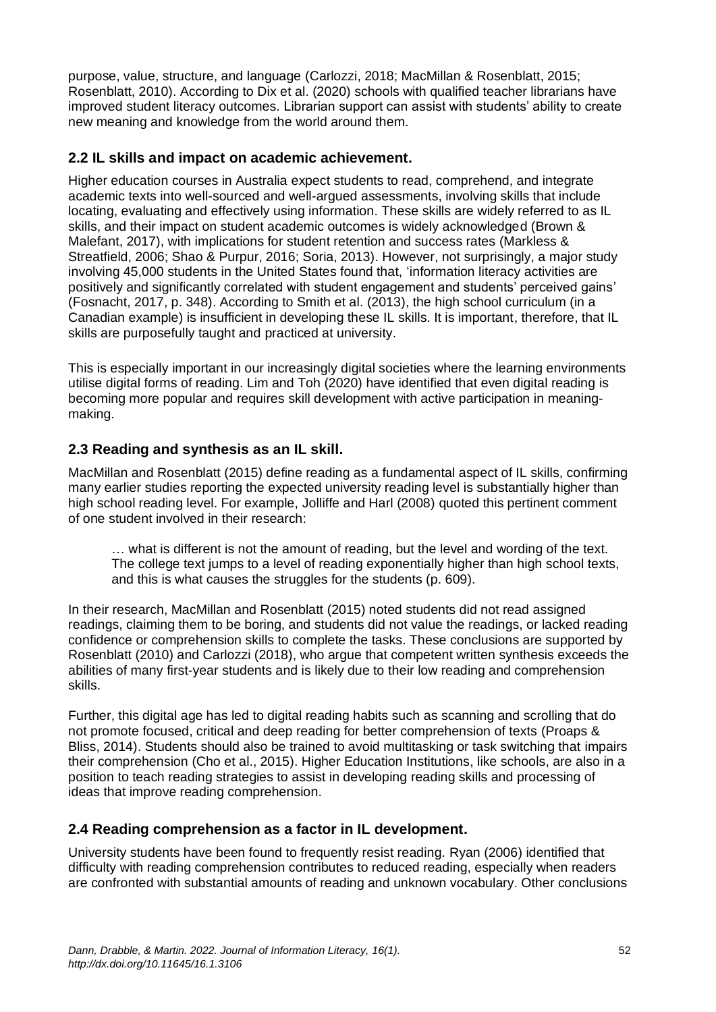purpose, value, structure, and language (Carlozzi, 2018; MacMillan & Rosenblatt, 2015; Rosenblatt, 2010). According to Dix et al. (2020) schools with qualified teacher librarians have improved student literacy outcomes. Librarian support can assist with students' ability to create new meaning and knowledge from the world around them.

#### **2.2 IL skills and impact on academic achievement.**

Higher education courses in Australia expect students to read, comprehend, and integrate academic texts into well-sourced and well-argued assessments, involving skills that include locating, evaluating and effectively using information. These skills are widely referred to as IL skills, and their impact on student academic outcomes is widely acknowledged (Brown & Malefant, 2017), with implications for student retention and success rates (Markless & Streatfield, 2006; Shao & Purpur, 2016; Soria, 2013). However, not surprisingly, a major study involving 45,000 students in the United States found that, 'information literacy activities are positively and significantly correlated with student engagement and students' perceived gains' (Fosnacht, 2017, p. 348). According to Smith et al. (2013), the high school curriculum (in a Canadian example) is insufficient in developing these IL skills. It is important, therefore, that IL skills are purposefully taught and practiced at university.

This is especially important in our increasingly digital societies where the learning environments utilise digital forms of reading. Lim and Toh (2020) have identified that even digital reading is becoming more popular and requires skill development with active participation in meaningmaking.

### **2.3 Reading and synthesis as an IL skill.**

MacMillan and Rosenblatt (2015) define reading as a fundamental aspect of IL skills, confirming many earlier studies reporting the expected university reading level is substantially higher than high school reading level. For example, Jolliffe and Harl (2008) quoted this pertinent comment of one student involved in their research:

… what is different is not the amount of reading, but the level and wording of the text. The college text jumps to a level of reading exponentially higher than high school texts, and this is what causes the struggles for the students (p. 609).

In their research, MacMillan and Rosenblatt (2015) noted students did not read assigned readings, claiming them to be boring, and students did not value the readings, or lacked reading confidence or comprehension skills to complete the tasks. These conclusions are supported by Rosenblatt (2010) and Carlozzi (2018), who argue that competent written synthesis exceeds the abilities of many first-year students and is likely due to their low reading and comprehension skills.

Further, this digital age has led to digital reading habits such as scanning and scrolling that do not promote focused, critical and deep reading for better comprehension of texts (Proaps & Bliss, 2014). Students should also be trained to avoid multitasking or task switching that impairs their comprehension (Cho et al., 2015). Higher Education Institutions, like schools, are also in a position to teach reading strategies to assist in developing reading skills and processing of ideas that improve reading comprehension.

### **2.4 Reading comprehension as a factor in IL development.**

University students have been found to frequently resist reading. Ryan (2006) identified that difficulty with reading comprehension contributes to reduced reading, especially when readers are confronted with substantial amounts of reading and unknown vocabulary. Other conclusions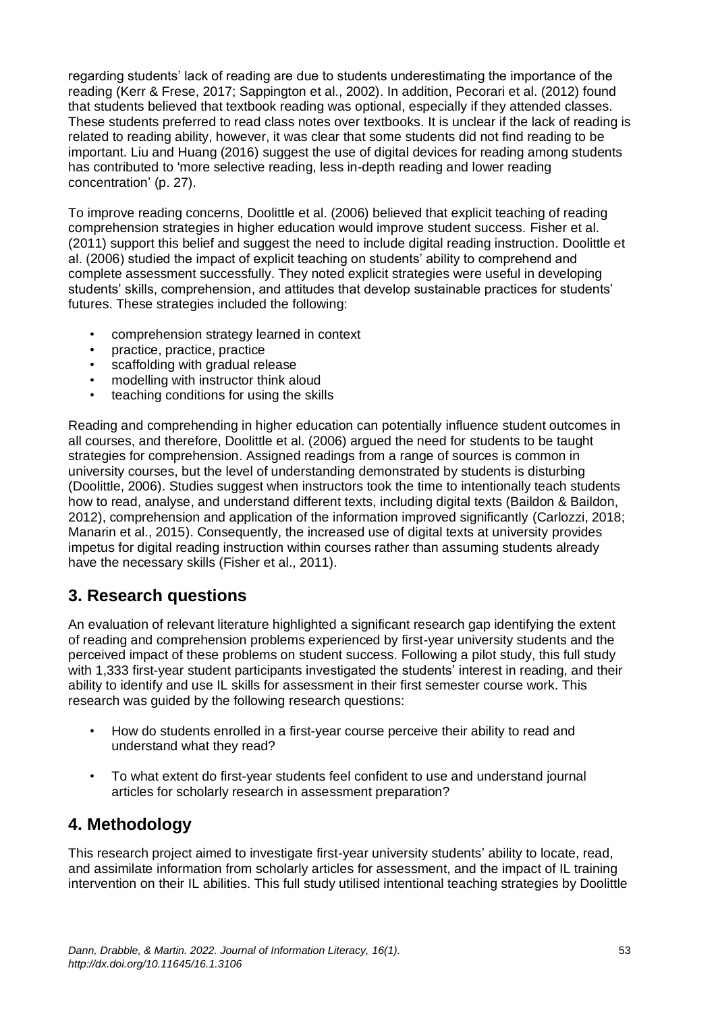regarding students' lack of reading are due to students underestimating the importance of the reading (Kerr & Frese, 2017; Sappington et al., 2002). In addition, Pecorari et al. (2012) found that students believed that textbook reading was optional, especially if they attended classes. These students preferred to read class notes over textbooks. It is unclear if the lack of reading is related to reading ability, however, it was clear that some students did not find reading to be important. Liu and Huang (2016) suggest the use of digital devices for reading among students has contributed to 'more selective reading, less in-depth reading and lower reading concentration' (p. 27).

To improve reading concerns, Doolittle et al. (2006) believed that explicit teaching of reading comprehension strategies in higher education would improve student success. Fisher et al. (2011) support this belief and suggest the need to include digital reading instruction. Doolittle et al. (2006) studied the impact of explicit teaching on students' ability to comprehend and complete assessment successfully. They noted explicit strategies were useful in developing students' skills, comprehension, and attitudes that develop sustainable practices for students' futures. These strategies included the following:

- comprehension strategy learned in context
- practice, practice, practice
- scaffolding with gradual release
- modelling with instructor think aloud
- teaching conditions for using the skills

Reading and comprehending in higher education can potentially influence student outcomes in all courses, and therefore, Doolittle et al. (2006) argued the need for students to be taught strategies for comprehension. Assigned readings from a range of sources is common in university courses, but the level of understanding demonstrated by students is disturbing (Doolittle, 2006). Studies suggest when instructors took the time to intentionally teach students how to read, analyse, and understand different texts, including digital texts (Baildon & Baildon, 2012), comprehension and application of the information improved significantly (Carlozzi, 2018; Manarin et al., 2015). Consequently, the increased use of digital texts at university provides impetus for digital reading instruction within courses rather than assuming students already have the necessary skills (Fisher et al., 2011).

# **3. Research questions**

An evaluation of relevant literature highlighted a significant research gap identifying the extent of reading and comprehension problems experienced by first-year university students and the perceived impact of these problems on student success. Following a pilot study, this full study with 1,333 first-year student participants investigated the students' interest in reading, and their ability to identify and use IL skills for assessment in their first semester course work. This research was guided by the following research questions:

- How do students enrolled in a first-year course perceive their ability to read and understand what they read?
- To what extent do first-year students feel confident to use and understand journal articles for scholarly research in assessment preparation?

# **4. Methodology**

This research project aimed to investigate first-year university students' ability to locate, read, and assimilate information from scholarly articles for assessment, and the impact of IL training intervention on their IL abilities. This full study utilised intentional teaching strategies by Doolittle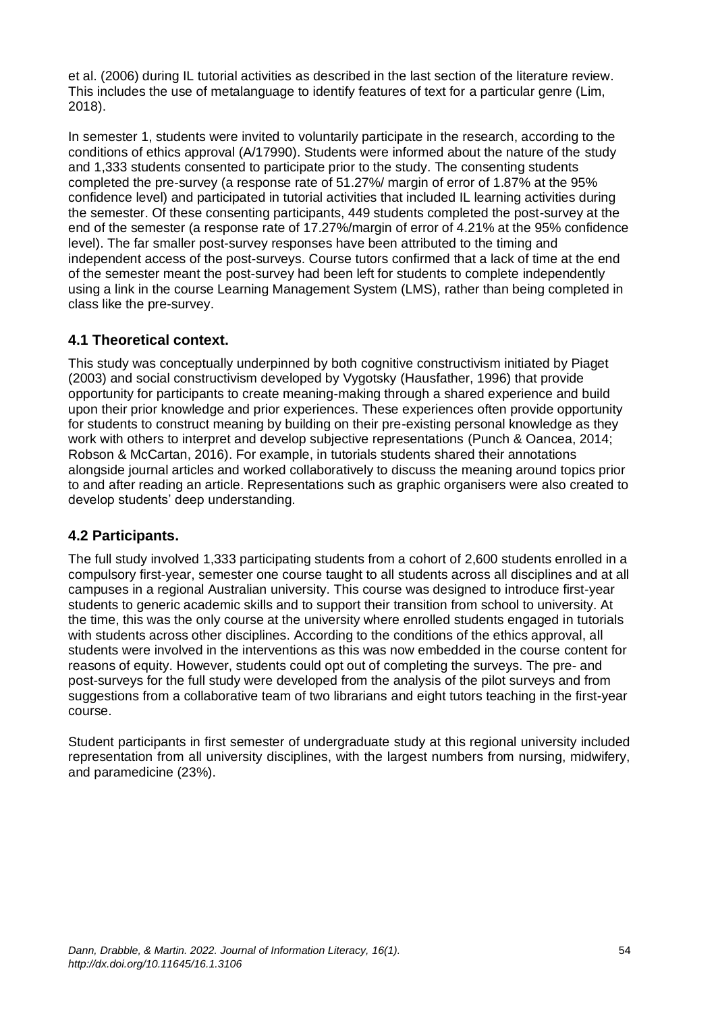et al. (2006) during IL tutorial activities as described in the last section of the literature review. This includes the use of metalanguage to identify features of text for a particular genre (Lim, 2018).

In semester 1, students were invited to voluntarily participate in the research, according to the conditions of ethics approval (A/17990). Students were informed about the nature of the study and 1,333 students consented to participate prior to the study. The consenting students completed the pre-survey (a response rate of 51.27%/ margin of error of 1.87% at the 95% confidence level) and participated in tutorial activities that included IL learning activities during the semester. Of these consenting participants, 449 students completed the post-survey at the end of the semester (a response rate of 17.27%/margin of error of 4.21% at the 95% confidence level). The far smaller post-survey responses have been attributed to the timing and independent access of the post-surveys. Course tutors confirmed that a lack of time at the end of the semester meant the post-survey had been left for students to complete independently using a link in the course Learning Management System (LMS), rather than being completed in class like the pre-survey.

#### **4.1 Theoretical context.**

This study was conceptually underpinned by both cognitive constructivism initiated by Piaget (2003) and social constructivism developed by Vygotsky (Hausfather, 1996) that provide opportunity for participants to create meaning-making through a shared experience and build upon their prior knowledge and prior experiences. These experiences often provide opportunity for students to construct meaning by building on their pre-existing personal knowledge as they work with others to interpret and develop subjective representations (Punch & Oancea, 2014; Robson & McCartan, 2016). For example, in tutorials students shared their annotations alongside journal articles and worked collaboratively to discuss the meaning around topics prior to and after reading an article. Representations such as graphic organisers were also created to develop students' deep understanding.

#### **4.2 Participants.**

The full study involved 1,333 participating students from a cohort of 2,600 students enrolled in a compulsory first-year, semester one course taught to all students across all disciplines and at all campuses in a regional Australian university. This course was designed to introduce first-year students to generic academic skills and to support their transition from school to university. At the time, this was the only course at the university where enrolled students engaged in tutorials with students across other disciplines. According to the conditions of the ethics approval, all students were involved in the interventions as this was now embedded in the course content for reasons of equity. However, students could opt out of completing the surveys. The pre- and post-surveys for the full study were developed from the analysis of the pilot surveys and from suggestions from a collaborative team of two librarians and eight tutors teaching in the first-year course.

Student participants in first semester of undergraduate study at this regional university included representation from all university disciplines, with the largest numbers from nursing, midwifery, and paramedicine (23%).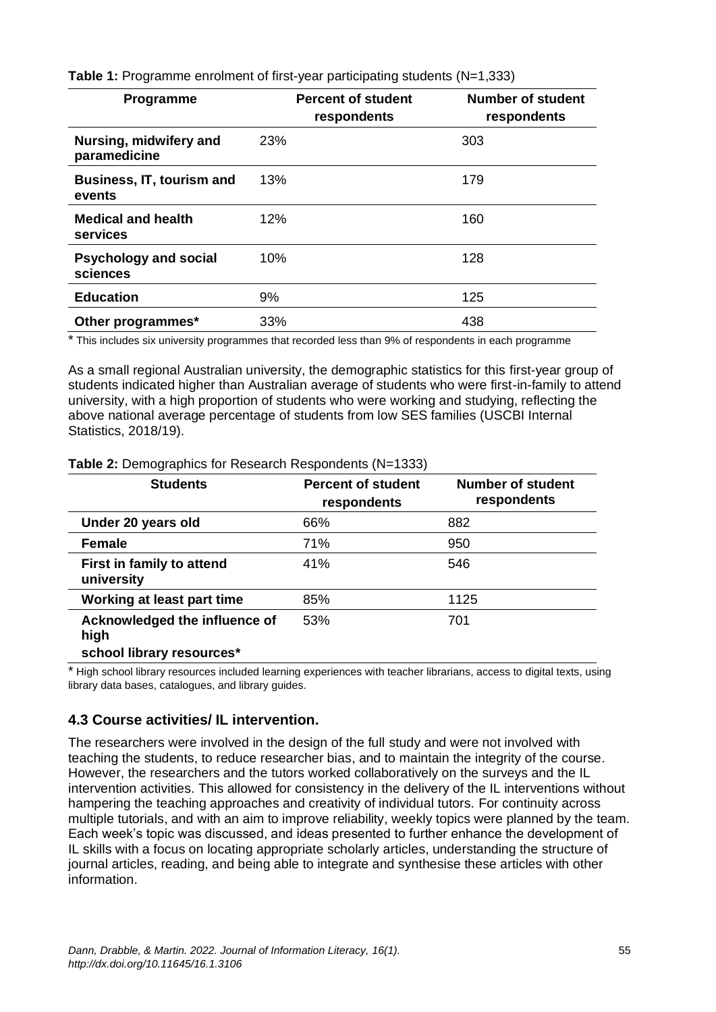**Table 1:** Programme enrolment of first-year participating students (N=1,333)

| <b>Programme</b>                           | <b>Percent of student</b><br>respondents | <b>Number of student</b><br>respondents |
|--------------------------------------------|------------------------------------------|-----------------------------------------|
| Nursing, midwifery and<br>paramedicine     | 23%                                      | 303                                     |
| <b>Business, IT, tourism and</b><br>events | 13%                                      | 179                                     |
| <b>Medical and health</b><br>services      | 12%                                      | 160                                     |
| <b>Psychology and social</b><br>sciences   | 10%                                      | 128                                     |
| <b>Education</b>                           | 9%                                       | 125                                     |
| Other programmes*                          | 33%                                      | 438                                     |

\* This includes six university programmes that recorded less than 9% of respondents in each programme

As a small regional Australian university, the demographic statistics for this first-year group of students indicated higher than Australian average of students who were first-in-family to attend university, with a high proportion of students who were working and studying, reflecting the above national average percentage of students from low SES families (USCBI Internal Statistics, 2018/19).

| <b>Students</b>                         | <b>Percent of student</b><br>respondents | <b>Number of student</b><br>respondents |
|-----------------------------------------|------------------------------------------|-----------------------------------------|
| Under 20 years old                      | 66%                                      | 882                                     |
| <b>Female</b>                           | 71%                                      | 950                                     |
| First in family to attend<br>university | 41%                                      | 546                                     |
| Working at least part time              | 85%                                      | 1125                                    |
| Acknowledged the influence of<br>high   | 53%                                      | 701                                     |
| school library resources*               |                                          |                                         |

**Table 2:** Demographics for Research Respondents (N=1333)

\* High school library resources included learning experiences with teacher librarians, access to digital texts, using library data bases, catalogues, and library guides.

#### **4.3 Course activities/ IL intervention.**

The researchers were involved in the design of the full study and were not involved with teaching the students, to reduce researcher bias, and to maintain the integrity of the course. However, the researchers and the tutors worked collaboratively on the surveys and the IL intervention activities. This allowed for consistency in the delivery of the IL interventions without hampering the teaching approaches and creativity of individual tutors. For continuity across multiple tutorials, and with an aim to improve reliability, weekly topics were planned by the team. Each week's topic was discussed, and ideas presented to further enhance the development of IL skills with a focus on locating appropriate scholarly articles, understanding the structure of journal articles, reading, and being able to integrate and synthesise these articles with other information.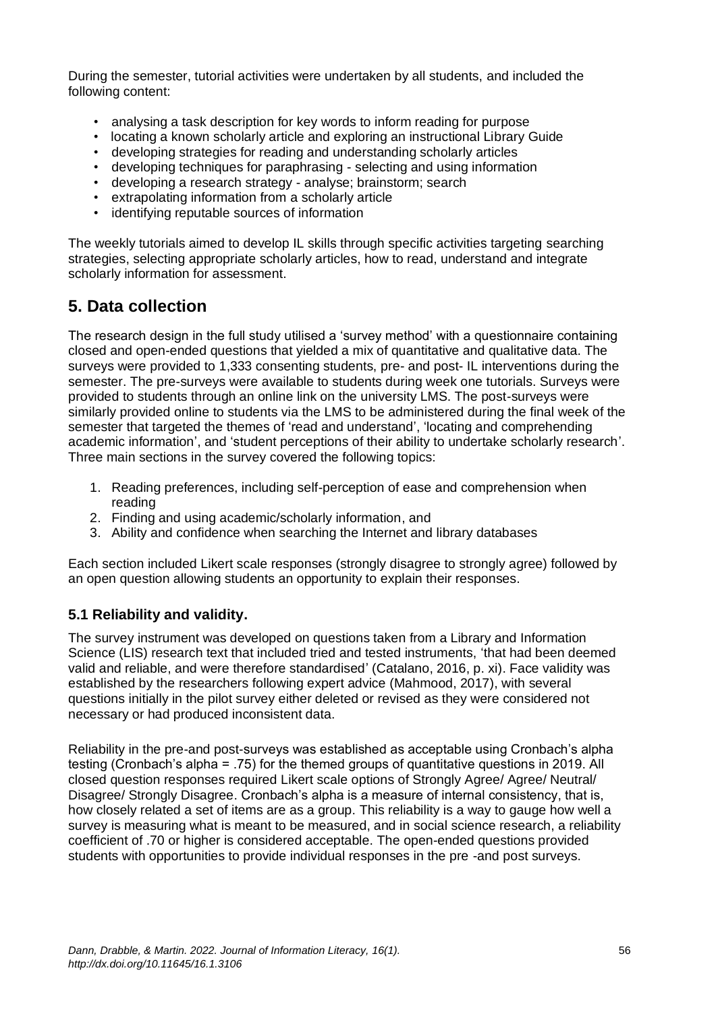During the semester, tutorial activities were undertaken by all students, and included the following content:

- analysing a task description for key words to inform reading for purpose
- locating a known scholarly article and exploring an instructional Library Guide
- developing strategies for reading and understanding scholarly articles
- developing techniques for paraphrasing selecting and using information
- developing a research strategy analyse; brainstorm; search
- extrapolating information from a scholarly article
- identifying reputable sources of information

The weekly tutorials aimed to develop IL skills through specific activities targeting searching strategies, selecting appropriate scholarly articles, how to read, understand and integrate scholarly information for assessment.

### **5. Data collection**

The research design in the full study utilised a 'survey method' with a questionnaire containing closed and open-ended questions that yielded a mix of quantitative and qualitative data. The surveys were provided to 1,333 consenting students, pre- and post- IL interventions during the semester. The pre-surveys were available to students during week one tutorials. Surveys were provided to students through an online link on the university LMS. The post-surveys were similarly provided online to students via the LMS to be administered during the final week of the semester that targeted the themes of 'read and understand', 'locating and comprehending academic information', and 'student perceptions of their ability to undertake scholarly research'. Three main sections in the survey covered the following topics:

- 1. Reading preferences, including self-perception of ease and comprehension when reading
- 2. Finding and using academic/scholarly information, and
- 3. Ability and confidence when searching the Internet and library databases

Each section included Likert scale responses (strongly disagree to strongly agree) followed by an open question allowing students an opportunity to explain their responses.

#### **5.1 Reliability and validity.**

The survey instrument was developed on questions taken from a Library and Information Science (LIS) research text that included tried and tested instruments, 'that had been deemed valid and reliable, and were therefore standardised' (Catalano, 2016, p. xi). Face validity was established by the researchers following expert advice (Mahmood, 2017), with several questions initially in the pilot survey either deleted or revised as they were considered not necessary or had produced inconsistent data.

Reliability in the pre-and post-surveys was established as acceptable using Cronbach's alpha testing (Cronbach's alpha = .75) for the themed groups of quantitative questions in 2019. All closed question responses required Likert scale options of Strongly Agree/ Agree/ Neutral/ Disagree/ Strongly Disagree. Cronbach's alpha is a measure of internal consistency, that is, how closely related a set of items are as a group. This reliability is a way to gauge how well a survey is measuring what is meant to be measured, and in social science research, a reliability coefficient of .70 or higher is considered acceptable. The open-ended questions provided students with opportunities to provide individual responses in the pre -and post surveys.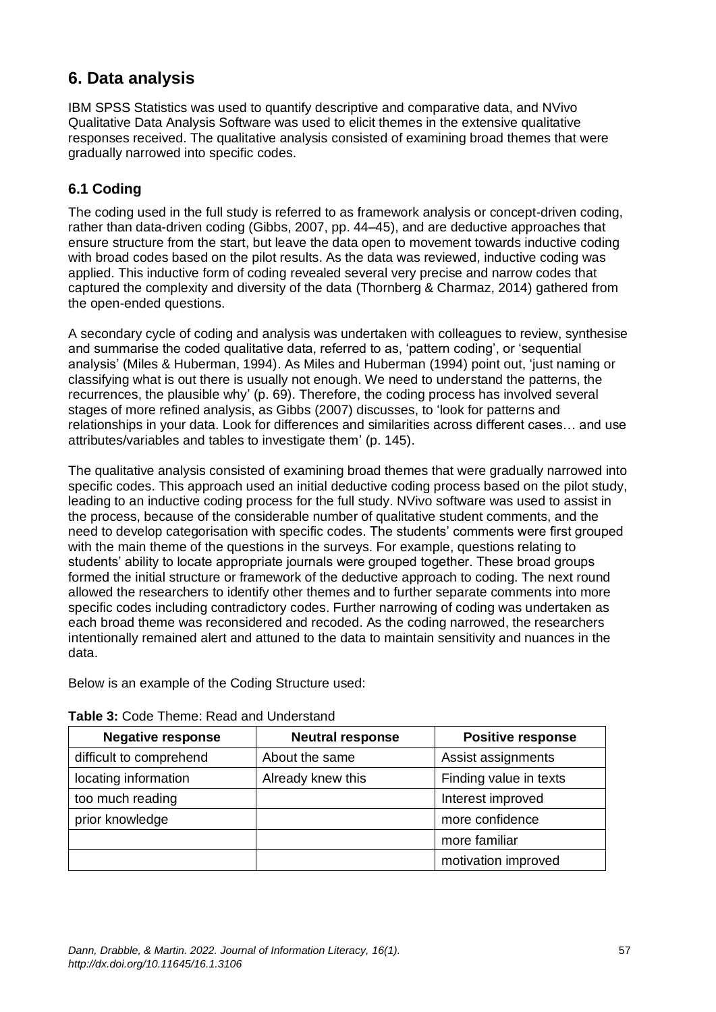# **6. Data analysis**

IBM SPSS Statistics was used to quantify descriptive and comparative data, and NVivo Qualitative Data Analysis Software was used to elicit themes in the extensive qualitative responses received. The qualitative analysis consisted of examining broad themes that were gradually narrowed into specific codes.

### **6.1 Coding**

The coding used in the full study is referred to as framework analysis or concept-driven coding, rather than data-driven coding (Gibbs, 2007, pp. 44–45), and are deductive approaches that ensure structure from the start, but leave the data open to movement towards inductive coding with broad codes based on the pilot results. As the data was reviewed, inductive coding was applied. This inductive form of coding revealed several very precise and narrow codes that captured the complexity and diversity of the data (Thornberg & Charmaz, 2014) gathered from the open-ended questions.

A secondary cycle of coding and analysis was undertaken with colleagues to review, synthesise and summarise the coded qualitative data, referred to as, 'pattern coding', or 'sequential analysis' (Miles & Huberman, 1994). As Miles and Huberman (1994) point out, 'just naming or classifying what is out there is usually not enough. We need to understand the patterns, the recurrences, the plausible why' (p. 69). Therefore, the coding process has involved several stages of more refined analysis, as Gibbs (2007) discusses, to 'look for patterns and relationships in your data. Look for differences and similarities across different cases… and use attributes/variables and tables to investigate them' (p. 145).

The qualitative analysis consisted of examining broad themes that were gradually narrowed into specific codes. This approach used an initial deductive coding process based on the pilot study, leading to an inductive coding process for the full study. NVivo software was used to assist in the process, because of the considerable number of qualitative student comments, and the need to develop categorisation with specific codes. The students' comments were first grouped with the main theme of the questions in the surveys. For example, questions relating to students' ability to locate appropriate journals were grouped together. These broad groups formed the initial structure or framework of the deductive approach to coding. The next round allowed the researchers to identify other themes and to further separate comments into more specific codes including contradictory codes. Further narrowing of coding was undertaken as each broad theme was reconsidered and recoded. As the coding narrowed, the researchers intentionally remained alert and attuned to the data to maintain sensitivity and nuances in the data.

Below is an example of the Coding Structure used:

| <b>Negative response</b> | <b>Neutral response</b> | <b>Positive response</b> |
|--------------------------|-------------------------|--------------------------|
| difficult to comprehend  | About the same          | Assist assignments       |
| locating information     | Already knew this       | Finding value in texts   |
| too much reading         |                         | Interest improved        |
| prior knowledge          |                         | more confidence          |
|                          |                         | more familiar            |
|                          |                         | motivation improved      |

#### **Table 3:** Code Theme: Read and Understand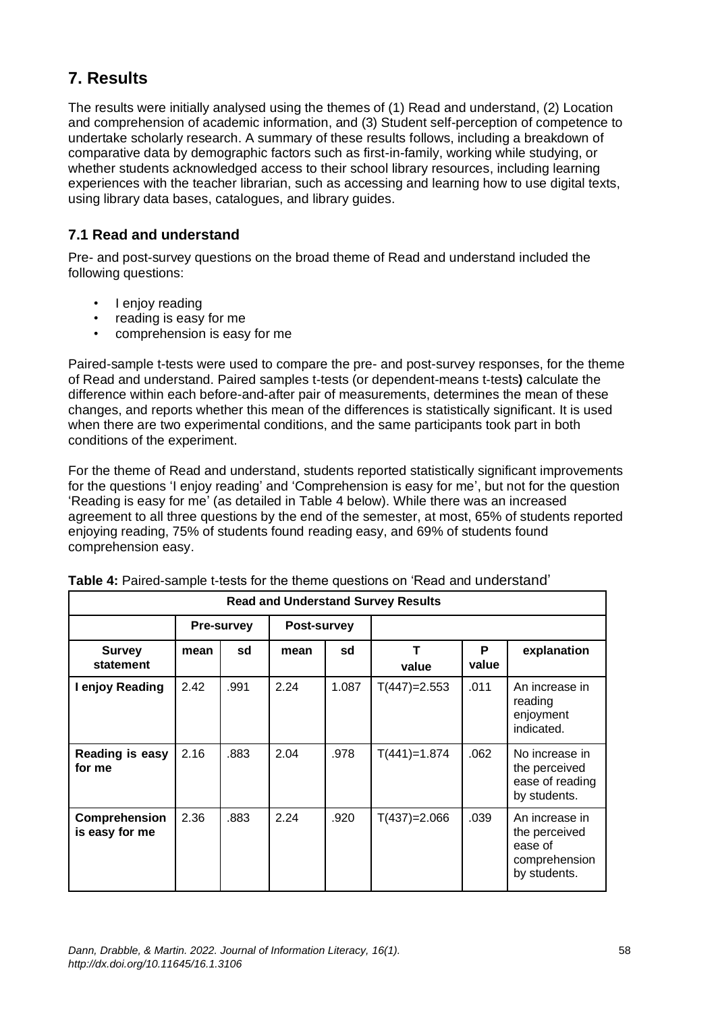# **7. Results**

The results were initially analysed using the themes of (1) Read and understand, (2) Location and comprehension of academic information, and (3) Student self-perception of competence to undertake scholarly research. A summary of these results follows, including a breakdown of comparative data by demographic factors such as first-in-family, working while studying, or whether students acknowledged access to their school library resources, including learning experiences with the teacher librarian, such as accessing and learning how to use digital texts, using library data bases, catalogues, and library guides.

### **7.1 Read and understand**

Pre- and post-survey questions on the broad theme of Read and understand included the following questions:

- I enjoy reading
- reading is easy for me
- comprehension is easy for me

Paired-sample t-tests were used to compare the pre- and post-survey responses, for the theme of Read and understand. Paired samples t-tests (or dependent-means t-tests**)** calculate the difference within each before-and-after pair of measurements, determines the mean of these changes, and reports whether this mean of the differences is statistically significant. It is used when there are two experimental conditions, and the same participants took part in both conditions of the experiment.

For the theme of Read and understand, students reported statistically significant improvements for the questions 'I enjoy reading' and 'Comprehension is easy for me', but not for the question 'Reading is easy for me' (as detailed in Table 4 below). While there was an increased agreement to all three questions by the end of the semester, at most, 65% of students reported enjoying reading, 75% of students found reading easy, and 69% of students found comprehension easy.

| <b>Read and Understand Survey Results</b> |      |                   |             |       |                |            |                                                                             |
|-------------------------------------------|------|-------------------|-------------|-------|----------------|------------|-----------------------------------------------------------------------------|
|                                           |      | <b>Pre-survey</b> | Post-survey |       |                |            |                                                                             |
| <b>Survey</b><br>statement                | mean | sd                | mean        | sd    | т<br>value     | P<br>value | explanation                                                                 |
| I enjoy Reading                           | 2.42 | .991              | 2.24        | 1.087 | $T(447)=2.553$ | .011       | An increase in<br>reading<br>enjoyment<br>indicated.                        |
| Reading is easy<br>for me                 | 2.16 | .883              | 2.04        | .978  | $T(441)=1.874$ | .062       | No increase in<br>the perceived<br>ease of reading<br>by students.          |
| Comprehension<br>is easy for me           | 2.36 | .883              | 2.24        | .920  | $T(437)=2.066$ | .039       | An increase in<br>the perceived<br>ease of<br>comprehension<br>by students. |

| Table 4: Paired-sample t-tests for the theme questions on 'Read and understand' |
|---------------------------------------------------------------------------------|
|---------------------------------------------------------------------------------|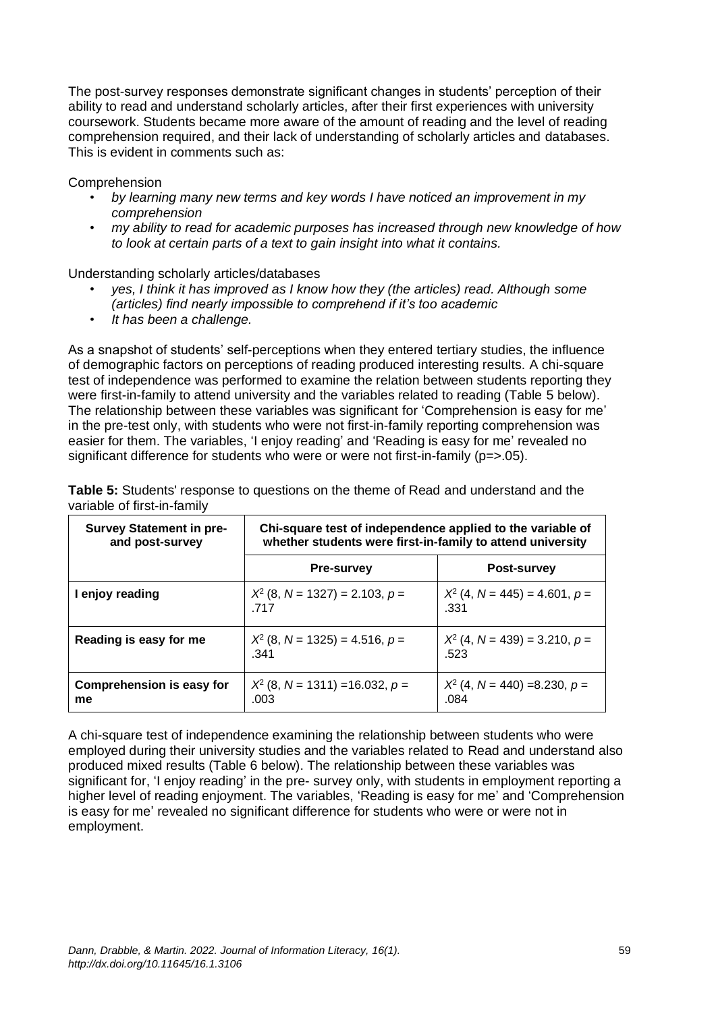The post-survey responses demonstrate significant changes in students' perception of their ability to read and understand scholarly articles, after their first experiences with university coursework. Students became more aware of the amount of reading and the level of reading comprehension required, and their lack of understanding of scholarly articles and databases. This is evident in comments such as:

Comprehension

- *by learning many new terms and key words I have noticed an improvement in my comprehension*
- *my ability to read for academic purposes has increased through new knowledge of how to look at certain parts of a text to gain insight into what it contains.*

Understanding scholarly articles/databases

- *yes, I think it has improved as I know how they (the articles) read. Although some (articles) find nearly impossible to comprehend if it's too academic*
- *It has been a challenge.*

As a snapshot of students' self-perceptions when they entered tertiary studies, the influence of demographic factors on perceptions of reading produced interesting results. A chi-square test of independence was performed to examine the relation between students reporting they were first-in-family to attend university and the variables related to reading (Table 5 below). The relationship between these variables was significant for 'Comprehension is easy for me' in the pre-test only, with students who were not first-in-family reporting comprehension was easier for them. The variables, 'I enjoy reading' and 'Reading is easy for me' revealed no significant difference for students who were or were not first-in-family (p=>.05).

| <b>Survey Statement in pre-</b><br>and post-survey | Chi-square test of independence applied to the variable of<br>whether students were first-in-family to attend university |                                         |  |
|----------------------------------------------------|--------------------------------------------------------------------------------------------------------------------------|-----------------------------------------|--|
|                                                    | <b>Pre-survey</b>                                                                                                        | Post-survey                             |  |
| I enjoy reading                                    | $X^2$ (8, N = 1327) = 2.103, p =<br>717                                                                                  | $X^2$ (4, N = 445) = 4.601, p =<br>.331 |  |
| Reading is easy for me                             | $X^2$ (8, N = 1325) = 4.516, p =<br>-341                                                                                 | $X^2$ (4, N = 439) = 3.210, p =<br>.523 |  |
| Comprehension is easy for<br>me                    | $X^2$ (8, N = 1311) = 16.032, p =<br>.003                                                                                | $X^2$ (4, N = 440) =8.230, p =<br>.084  |  |

**Table 5:** Students' response to questions on the theme of Read and understand and the variable of first-in-family

A chi-square test of independence examining the relationship between students who were employed during their university studies and the variables related to Read and understand also produced mixed results (Table 6 below). The relationship between these variables was significant for, 'I enjoy reading' in the pre- survey only, with students in employment reporting a higher level of reading enjoyment. The variables, 'Reading is easy for me' and 'Comprehension is easy for me' revealed no significant difference for students who were or were not in employment.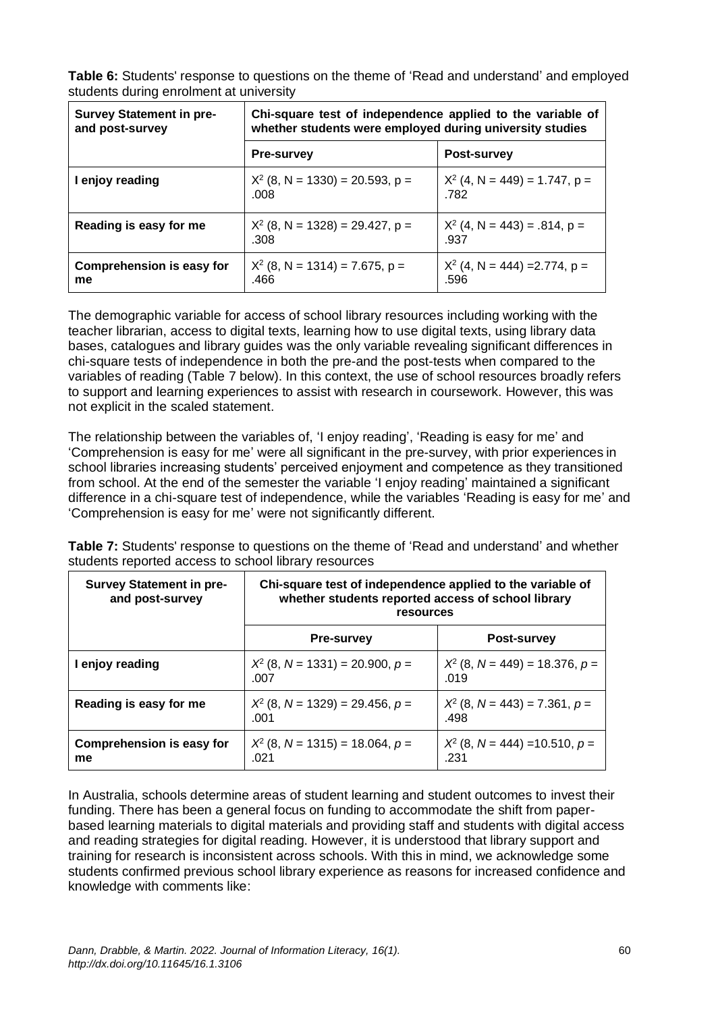**Table 6:** Students' response to questions on the theme of 'Read and understand' and employed students during enrolment at university

| <b>Survey Statement in pre-</b><br>and post-survey | Chi-square test of independence applied to the variable of<br>whether students were employed during university studies |                                         |  |
|----------------------------------------------------|------------------------------------------------------------------------------------------------------------------------|-----------------------------------------|--|
|                                                    | <b>Pre-survey</b>                                                                                                      | Post-survey                             |  |
| I enjoy reading                                    | $X^2$ (8, N = 1330) = 20.593, p =<br>.008                                                                              | $X^2$ (4, N = 449) = 1.747, p =<br>.782 |  |
| Reading is easy for me                             | $X^2$ (8, N = 1328) = 29.427, p =<br>.308                                                                              | $X^2$ (4, N = 443) = .814, p =<br>.937  |  |
| Comprehension is easy for<br>me                    | $X^2$ (8, N = 1314) = 7.675, p =<br>.466                                                                               | $X^2$ (4, N = 444) = 2.774, p =<br>.596 |  |

The demographic variable for access of school library resources including working with the teacher librarian, access to digital texts, learning how to use digital texts, using library data bases, catalogues and library guides was the only variable revealing significant differences in chi-square tests of independence in both the pre-and the post-tests when compared to the variables of reading (Table 7 below). In this context, the use of school resources broadly refers to support and learning experiences to assist with research in coursework. However, this was not explicit in the scaled statement.

The relationship between the variables of, 'I enjoy reading', 'Reading is easy for me' and 'Comprehension is easy for me' were all significant in the pre-survey, with prior experiences in school libraries increasing students' perceived enjoyment and competence as they transitioned from school. At the end of the semester the variable 'I enjoy reading' maintained a significant difference in a chi-square test of independence, while the variables 'Reading is easy for me' and 'Comprehension is easy for me' were not significantly different.

**Table 7:** Students' response to questions on the theme of 'Read and understand' and whether students reported access to school library resources

| <b>Survey Statement in pre-</b><br>and post-survey | Chi-square test of independence applied to the variable of<br>whether students reported access of school library<br>resources |                                          |  |
|----------------------------------------------------|-------------------------------------------------------------------------------------------------------------------------------|------------------------------------------|--|
|                                                    | <b>Pre-survey</b>                                                                                                             | <b>Post-survey</b>                       |  |
| I enjoy reading                                    | $X^2$ (8, N = 1331) = 20.900, p =<br>-007                                                                                     | $X^2$ (8, N = 449) = 18.376, p =<br>.019 |  |
| Reading is easy for me                             | $X^2$ (8, N = 1329) = 29.456, p =<br>.001                                                                                     | $X^2$ (8, N = 443) = 7.361, p =<br>.498  |  |
| Comprehension is easy for<br>me                    | $X^2$ (8, N = 1315) = 18.064, p =<br>.N21                                                                                     | $X^2$ (8, N = 444) = 10.510, p =<br>.231 |  |

In Australia, schools determine areas of student learning and student outcomes to invest their funding. There has been a general focus on funding to accommodate the shift from paperbased learning materials to digital materials and providing staff and students with digital access and reading strategies for digital reading. However, it is understood that library support and training for research is inconsistent across schools. With this in mind, we acknowledge some students confirmed previous school library experience as reasons for increased confidence and knowledge with comments like: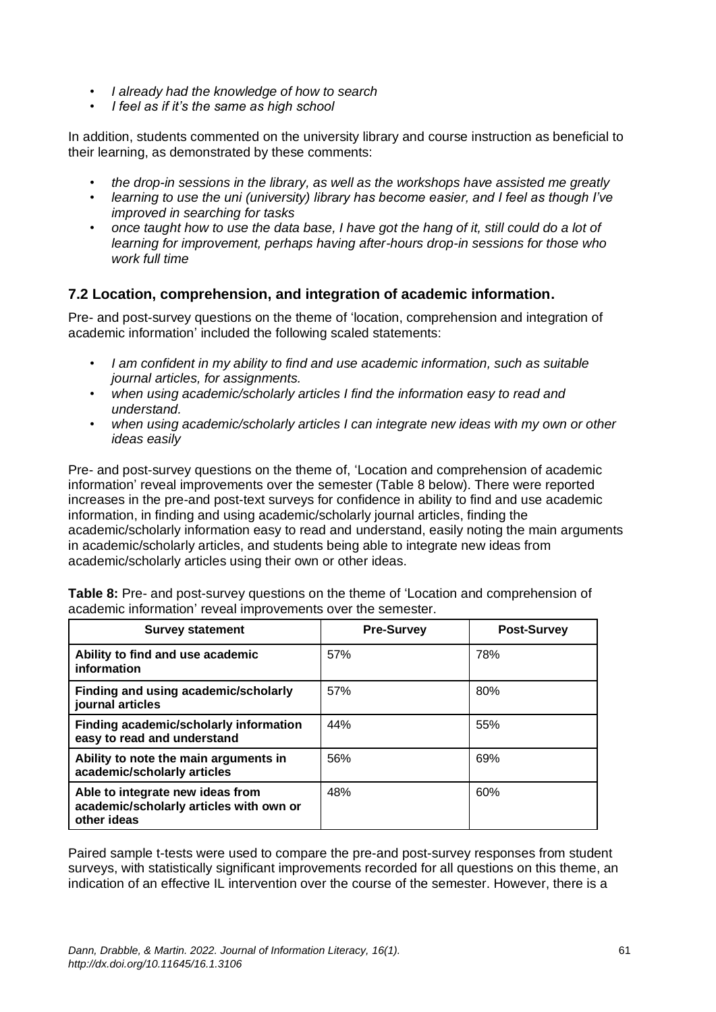- *I already had the knowledge of how to search*
- *I feel as if it's the same as high school*

In addition, students commented on the university library and course instruction as beneficial to their learning, as demonstrated by these comments:

- *the drop-in sessions in the library, as well as the workshops have assisted me greatly*
- *learning to use the uni (university) library has become easier, and I feel as though I've improved in searching for tasks*
- *once taught how to use the data base, I have got the hang of it, still could do a lot of learning for improvement, perhaps having after-hours drop-in sessions for those who work full time*

#### **7.2 Location, comprehension, and integration of academic information.**

Pre- and post-survey questions on the theme of 'location, comprehension and integration of academic information' included the following scaled statements:

- *I am confident in my ability to find and use academic information, such as suitable journal articles, for assignments.*
- *when using academic/scholarly articles I find the information easy to read and understand.*
- *when using academic/scholarly articles I can integrate new ideas with my own or other ideas easily*

Pre- and post-survey questions on the theme of, 'Location and comprehension of academic information' reveal improvements over the semester (Table 8 below). There were reported increases in the pre-and post-text surveys for confidence in ability to find and use academic information, in finding and using academic/scholarly journal articles, finding the academic/scholarly information easy to read and understand, easily noting the main arguments in academic/scholarly articles, and students being able to integrate new ideas from academic/scholarly articles using their own or other ideas.

| <b>Survey statement</b>                                                                    | <b>Pre-Survey</b> | <b>Post-Survey</b> |
|--------------------------------------------------------------------------------------------|-------------------|--------------------|
| Ability to find and use academic<br>information                                            | 57%               | 78%                |
| Finding and using academic/scholarly<br>journal articles                                   | 57%               | 80%                |
| Finding academic/scholarly information<br>easy to read and understand                      | 44%               | 55%                |
| Ability to note the main arguments in<br>academic/scholarly articles                       | 56%               | 69%                |
| Able to integrate new ideas from<br>academic/scholarly articles with own or<br>other ideas | 48%               | 60%                |

**Table 8:** Pre- and post-survey questions on the theme of 'Location and comprehension of academic information' reveal improvements over the semester.

Paired sample t-tests were used to compare the pre-and post-survey responses from student surveys, with statistically significant improvements recorded for all questions on this theme, an indication of an effective IL intervention over the course of the semester. However, there is a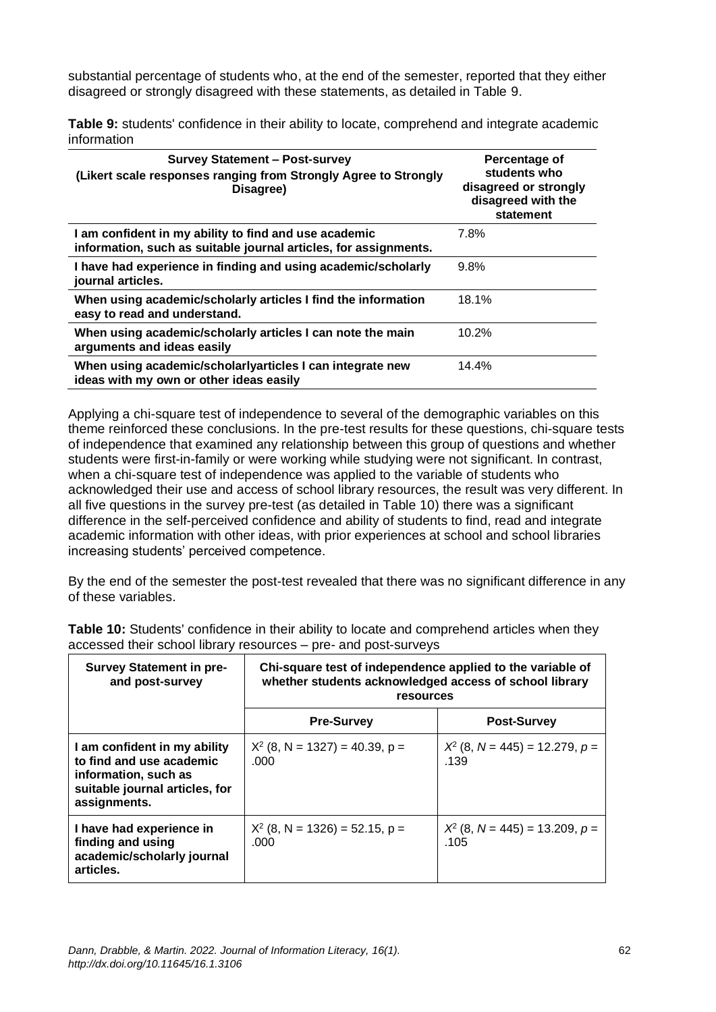substantial percentage of students who, at the end of the semester, reported that they either disagreed or strongly disagreed with these statements, as detailed in Table 9.

**Table 9:** students' confidence in their ability to locate, comprehend and integrate academic information

| <b>Survey Statement - Post-survey</b><br>(Likert scale responses ranging from Strongly Agree to Strongly<br>Disagree)     | Percentage of<br>students who<br>disagreed or strongly<br>disagreed with the<br>statement |
|---------------------------------------------------------------------------------------------------------------------------|-------------------------------------------------------------------------------------------|
| I am confident in my ability to find and use academic<br>information, such as suitable journal articles, for assignments. | 7.8%                                                                                      |
| I have had experience in finding and using academic/scholarly<br>journal articles.                                        | 9.8%                                                                                      |
| When using academic/scholarly articles I find the information<br>easy to read and understand.                             | 18.1%                                                                                     |
| When using academic/scholarly articles I can note the main<br>arguments and ideas easily                                  | 10.2%                                                                                     |
| When using academic/scholarlyarticles I can integrate new<br>ideas with my own or other ideas easily                      | 14.4%                                                                                     |

Applying a chi-square test of independence to several of the demographic variables on this theme reinforced these conclusions. In the pre-test results for these questions, chi-square tests of independence that examined any relationship between this group of questions and whether students were first-in-family or were working while studying were not significant. In contrast, when a chi-square test of independence was applied to the variable of students who acknowledged their use and access of school library resources, the result was very different. In all five questions in the survey pre-test (as detailed in Table 10) there was a significant difference in the self-perceived confidence and ability of students to find, read and integrate academic information with other ideas, with prior experiences at school and school libraries increasing students' perceived competence.

By the end of the semester the post-test revealed that there was no significant difference in any of these variables.

| <b>TWINTY TWI DIMMOTICS OF THE STATE COMPTITE IS TO DUCKLY CATEGORY COMPTIBILITY OF THIS IS AN ALGEBRA I</b><br>accessed their school library resources – pre- and post-surveys |                                                            |  |  |
|---------------------------------------------------------------------------------------------------------------------------------------------------------------------------------|------------------------------------------------------------|--|--|
| <b>Survey Statement in pre-</b>                                                                                                                                                 | Chi-square test of independence applied to the variable of |  |  |
| and post-survey                                                                                                                                                                 | whether students acknowledged access of school library     |  |  |

**Table 10:** Students' confidence in their ability to locate and comprehend articles when they

| <b>Survey Statement in pre-</b><br>and post-survey                                                                                 | Chi-square test of independence applied to the variable of<br>whether students acknowledged access of school library<br>resources |                                          |  |
|------------------------------------------------------------------------------------------------------------------------------------|-----------------------------------------------------------------------------------------------------------------------------------|------------------------------------------|--|
|                                                                                                                                    | <b>Pre-Survey</b>                                                                                                                 | <b>Post-Survey</b>                       |  |
| I am confident in my ability<br>to find and use academic<br>information, such as<br>suitable journal articles, for<br>assignments. | $X^2$ (8, N = 1327) = 40.39, p =<br>.000                                                                                          | $X^2$ (8, N = 445) = 12.279, p =<br>.139 |  |
| I have had experience in<br>finding and using<br>academic/scholarly journal<br>articles.                                           | $X^2$ (8, N = 1326) = 52.15, p =<br>.000                                                                                          | $X^2$ (8, N = 445) = 13.209, p =<br>.105 |  |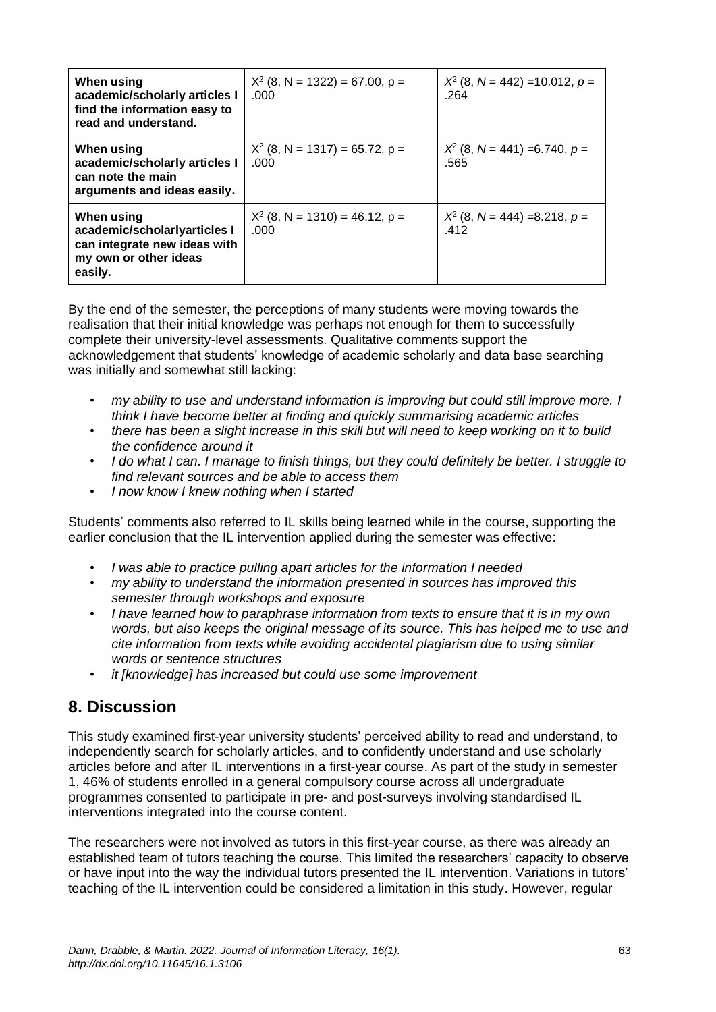| When using<br>academic/scholarly articles I<br>find the information easy to<br>read and understand.            | $X^2$ (8, N = 1322) = 67.00, p =<br>.000 | $X^2$ (8, N = 442) = 10.012, p =<br>.264 |
|----------------------------------------------------------------------------------------------------------------|------------------------------------------|------------------------------------------|
| When using<br>academic/scholarly articles I<br>can note the main<br>arguments and ideas easily.                | $X^2$ (8, N = 1317) = 65.72, p =<br>.000 | $X^2$ (8, N = 441) = 6.740, p =<br>.565  |
| When using<br>academic/scholarlyarticles I<br>can integrate new ideas with<br>my own or other ideas<br>easily. | $X^2$ (8, N = 1310) = 46.12, p =<br>.000 | $X^2$ (8, N = 444) = 8.218, p =<br>.412  |

By the end of the semester, the perceptions of many students were moving towards the realisation that their initial knowledge was perhaps not enough for them to successfully complete their university-level assessments. Qualitative comments support the acknowledgement that students' knowledge of academic scholarly and data base searching was initially and somewhat still lacking:

- *my ability to use and understand information is improving but could still improve more. I think I have become better at finding and quickly summarising academic articles*
- *there has been a slight increase in this skill but will need to keep working on it to build the confidence around it*
- *I do what I can. I manage to finish things, but they could definitely be better. I struggle to find relevant sources and be able to access them*
- *I now know I knew nothing when I started*

Students' comments also referred to IL skills being learned while in the course, supporting the earlier conclusion that the IL intervention applied during the semester was effective:

- *I was able to practice pulling apart articles for the information I needed*
- *my ability to understand the information presented in sources has improved this semester through workshops and exposure*
- *I have learned how to paraphrase information from texts to ensure that it is in my own words, but also keeps the original message of its source. This has helped me to use and cite information from texts while avoiding accidental plagiarism due to using similar words or sentence structures*
- *it [knowledge] has increased but could use some improvement*

### **8. Discussion**

This study examined first-year university students' perceived ability to read and understand, to independently search for scholarly articles, and to confidently understand and use scholarly articles before and after IL interventions in a first-year course. As part of the study in semester 1, 46% of students enrolled in a general compulsory course across all undergraduate programmes consented to participate in pre- and post-surveys involving standardised IL interventions integrated into the course content.

The researchers were not involved as tutors in this first-year course, as there was already an established team of tutors teaching the course. This limited the researchers' capacity to observe or have input into the way the individual tutors presented the IL intervention. Variations in tutors' teaching of the IL intervention could be considered a limitation in this study. However, regular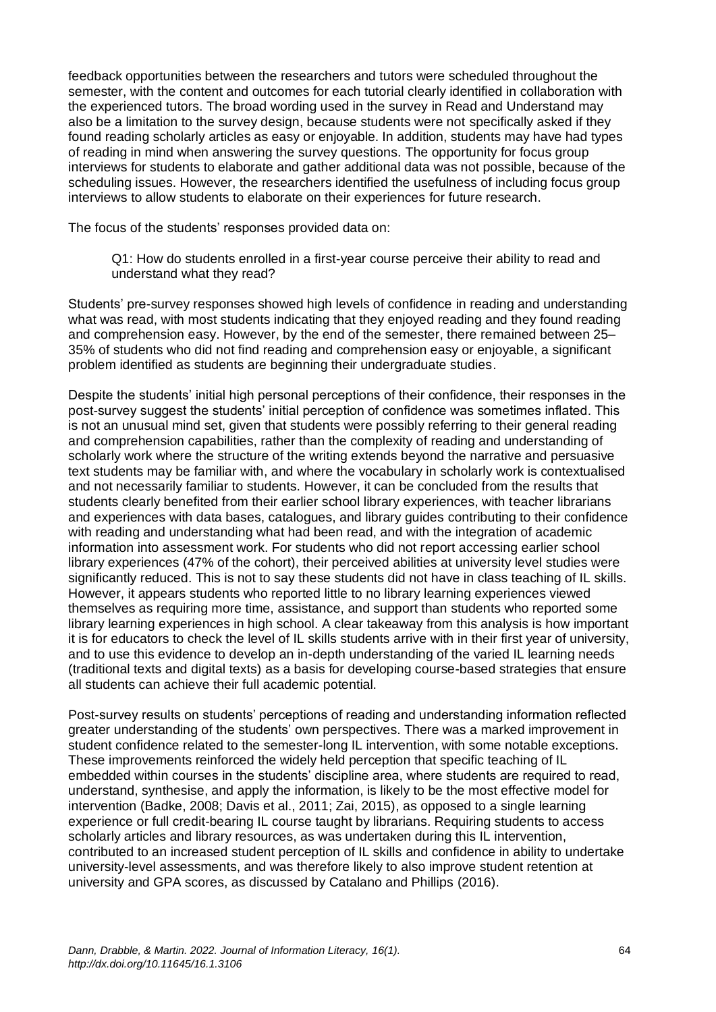feedback opportunities between the researchers and tutors were scheduled throughout the semester, with the content and outcomes for each tutorial clearly identified in collaboration with the experienced tutors. The broad wording used in the survey in Read and Understand may also be a limitation to the survey design, because students were not specifically asked if they found reading scholarly articles as easy or enjoyable. In addition, students may have had types of reading in mind when answering the survey questions. The opportunity for focus group interviews for students to elaborate and gather additional data was not possible, because of the scheduling issues. However, the researchers identified the usefulness of including focus group interviews to allow students to elaborate on their experiences for future research.

The focus of the students' responses provided data on:

Q1: How do students enrolled in a first-year course perceive their ability to read and understand what they read?

Students' pre-survey responses showed high levels of confidence in reading and understanding what was read, with most students indicating that they enjoyed reading and they found reading and comprehension easy. However, by the end of the semester, there remained between 25– 35% of students who did not find reading and comprehension easy or enjoyable, a significant problem identified as students are beginning their undergraduate studies.

Despite the students' initial high personal perceptions of their confidence, their responses in the post-survey suggest the students' initial perception of confidence was sometimes inflated. This is not an unusual mind set, given that students were possibly referring to their general reading and comprehension capabilities, rather than the complexity of reading and understanding of scholarly work where the structure of the writing extends beyond the narrative and persuasive text students may be familiar with, and where the vocabulary in scholarly work is contextualised and not necessarily familiar to students. However, it can be concluded from the results that students clearly benefited from their earlier school library experiences, with teacher librarians and experiences with data bases, catalogues, and library guides contributing to their confidence with reading and understanding what had been read, and with the integration of academic information into assessment work. For students who did not report accessing earlier school library experiences (47% of the cohort), their perceived abilities at university level studies were significantly reduced. This is not to say these students did not have in class teaching of IL skills. However, it appears students who reported little to no library learning experiences viewed themselves as requiring more time, assistance, and support than students who reported some library learning experiences in high school. A clear takeaway from this analysis is how important it is for educators to check the level of IL skills students arrive with in their first year of university, and to use this evidence to develop an in-depth understanding of the varied IL learning needs (traditional texts and digital texts) as a basis for developing course-based strategies that ensure all students can achieve their full academic potential.

Post-survey results on students' perceptions of reading and understanding information reflected greater understanding of the students' own perspectives. There was a marked improvement in student confidence related to the semester-long IL intervention, with some notable exceptions. These improvements reinforced the widely held perception that specific teaching of IL embedded within courses in the students' discipline area, where students are required to read, understand, synthesise, and apply the information, is likely to be the most effective model for intervention (Badke, 2008; Davis et al., 2011; Zai, 2015), as opposed to a single learning experience or full credit-bearing IL course taught by librarians. Requiring students to access scholarly articles and library resources, as was undertaken during this IL intervention, contributed to an increased student perception of IL skills and confidence in ability to undertake university-level assessments, and was therefore likely to also improve student retention at university and GPA scores, as discussed by Catalano and Phillips (2016).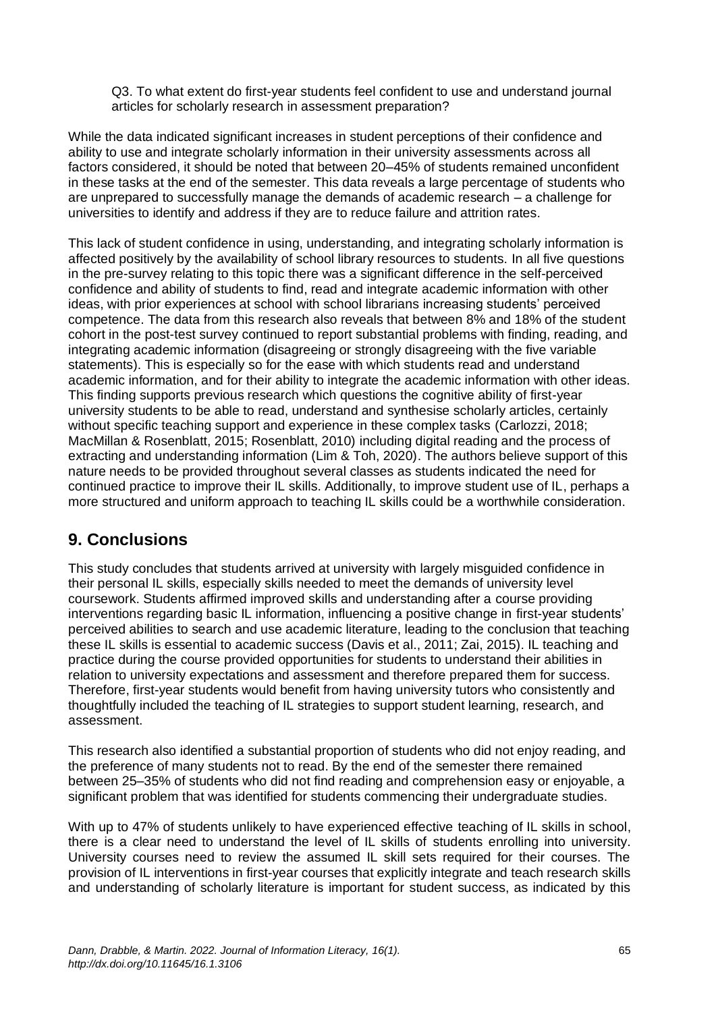Q3. To what extent do first-year students feel confident to use and understand journal articles for scholarly research in assessment preparation?

While the data indicated significant increases in student perceptions of their confidence and ability to use and integrate scholarly information in their university assessments across all factors considered, it should be noted that between 20–45% of students remained unconfident in these tasks at the end of the semester. This data reveals a large percentage of students who are unprepared to successfully manage the demands of academic research – a challenge for universities to identify and address if they are to reduce failure and attrition rates.

This lack of student confidence in using, understanding, and integrating scholarly information is affected positively by the availability of school library resources to students. In all five questions in the pre-survey relating to this topic there was a significant difference in the self-perceived confidence and ability of students to find, read and integrate academic information with other ideas, with prior experiences at school with school librarians increasing students' perceived competence. The data from this research also reveals that between 8% and 18% of the student cohort in the post-test survey continued to report substantial problems with finding, reading, and integrating academic information (disagreeing or strongly disagreeing with the five variable statements). This is especially so for the ease with which students read and understand academic information, and for their ability to integrate the academic information with other ideas. This finding supports previous research which questions the cognitive ability of first-year university students to be able to read, understand and synthesise scholarly articles, certainly without specific teaching support and experience in these complex tasks (Carlozzi, 2018; MacMillan & Rosenblatt, 2015; Rosenblatt, 2010) including digital reading and the process of extracting and understanding information (Lim & Toh, 2020). The authors believe support of this nature needs to be provided throughout several classes as students indicated the need for continued practice to improve their IL skills. Additionally, to improve student use of IL, perhaps a more structured and uniform approach to teaching IL skills could be a worthwhile consideration.

# **9. Conclusions**

This study concludes that students arrived at university with largely misguided confidence in their personal IL skills, especially skills needed to meet the demands of university level coursework. Students affirmed improved skills and understanding after a course providing interventions regarding basic IL information, influencing a positive change in first-year students' perceived abilities to search and use academic literature, leading to the conclusion that teaching these IL skills is essential to academic success (Davis et al., 2011; Zai, 2015). IL teaching and practice during the course provided opportunities for students to understand their abilities in relation to university expectations and assessment and therefore prepared them for success. Therefore, first-year students would benefit from having university tutors who consistently and thoughtfully included the teaching of IL strategies to support student learning, research, and assessment.

This research also identified a substantial proportion of students who did not enjoy reading, and the preference of many students not to read. By the end of the semester there remained between 25–35% of students who did not find reading and comprehension easy or enjoyable, a significant problem that was identified for students commencing their undergraduate studies.

With up to 47% of students unlikely to have experienced effective teaching of IL skills in school, there is a clear need to understand the level of IL skills of students enrolling into university. University courses need to review the assumed IL skill sets required for their courses. The provision of IL interventions in first-year courses that explicitly integrate and teach research skills and understanding of scholarly literature is important for student success, as indicated by this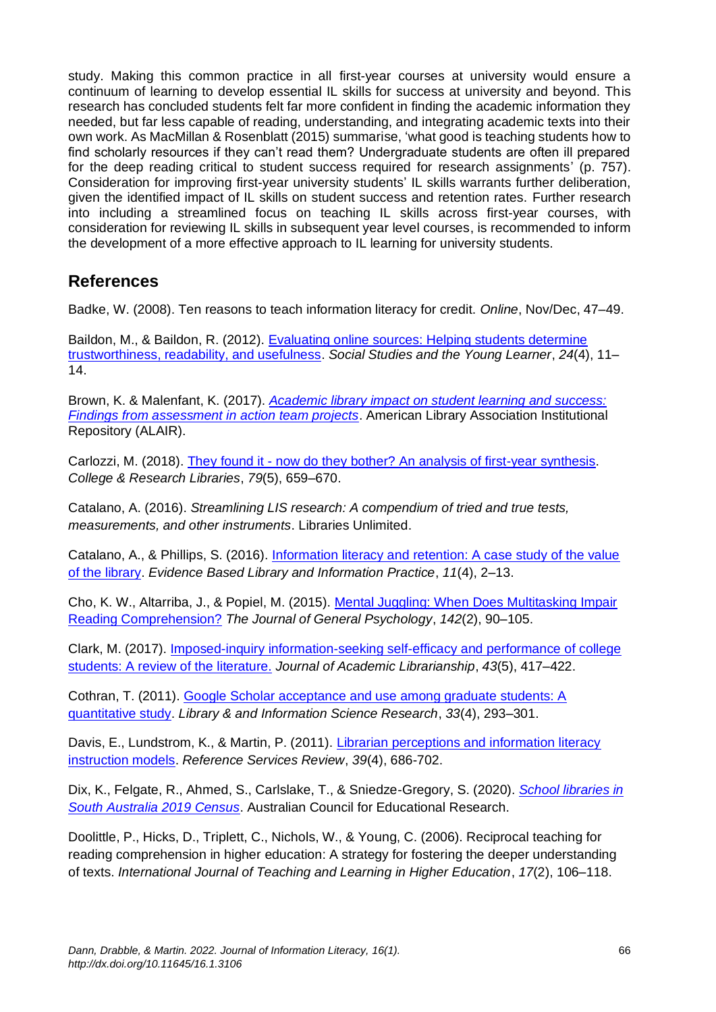study. Making this common practice in all first-year courses at university would ensure a continuum of learning to develop essential IL skills for success at university and beyond. This research has concluded students felt far more confident in finding the academic information they needed, but far less capable of reading, understanding, and integrating academic texts into their own work. As MacMillan & Rosenblatt (2015) summarise, 'what good is teaching students how to find scholarly resources if they can't read them? Undergraduate students are often ill prepared for the deep reading critical to student success required for research assignments' (p. 757). Consideration for improving first-year university students' IL skills warrants further deliberation, given the identified impact of IL skills on student success and retention rates. Further research into including a streamlined focus on teaching IL skills across first-year courses, with consideration for reviewing IL skills in subsequent year level courses, is recommended to inform the development of a more effective approach to IL learning for university students.

### **References**

Badke, W. (2008). Ten reasons to teach information literacy for credit. *Online*, Nov/Dec, 47–49.

Baildon, M., & Baildon, R. (2012). [Evaluating online sources: Helping students determine](https://www.socialstudies.org/system/files/publications/articles/yl_240411.pdf)  [trustworthiness, readability, and usefulness.](https://www.socialstudies.org/system/files/publications/articles/yl_240411.pdf) *Social Studies and the Young Learner*, *24*(4), 11– 14.

Brown, K. & Malenfant, K. (2017). *[Academic library impact on student learning and success:](https://www.ala.org/acrl/sites/ala.org.acrl/files/content/issues/value/findings_y3.pdf)  [Findings from assessment in action team projects](https://www.ala.org/acrl/sites/ala.org.acrl/files/content/issues/value/findings_y3.pdf)*. American Library Association Institutional Repository (ALAIR).

Carlozzi, M. (2018). They found it - [now do they bother? An analysis of first-year synthesis.](https://doi.org/10.5860/crl.79.5.659) *College & Research Libraries*, *79*(5), 659–670.

Catalano, A. (2016). *Streamlining LIS research: A compendium of tried and true tests, measurements, and other instruments*. Libraries Unlimited.

Catalano, A., & Phillips, S. (2016). [Information literacy and retention: A case study of the value](https://www.scopus.com/inward/record.uri?eid=2-s2.0-85006984177&partnerID=40&md5=0356c4bc16a992ba7826cf5ea8e6fe86)  [of the library.](https://www.scopus.com/inward/record.uri?eid=2-s2.0-85006984177&partnerID=40&md5=0356c4bc16a992ba7826cf5ea8e6fe86) *Evidence Based Library and Information Practice*, *11*(4), 2–13.

Cho, K. W., Altarriba, J., & Popiel, M. (2015). [Mental Juggling: When Does Multitasking Impair](https://doi.org/10.1080/00221309.2014.1003029)  [Reading Comprehension?](https://doi.org/10.1080/00221309.2014.1003029) *The Journal of General Psychology*, *142*(2), 90–105.

Clark, M. (2017). [Imposed-inquiry information-seeking self-efficacy and performance of college](https://doi.org/10.1016/j.acalib.2017.05.001)  [students: A review of the literature.](https://doi.org/10.1016/j.acalib.2017.05.001) *Journal of Academic Librarianship*, *43*(5), 417–422.

Cothran, T. (2011). [Google Scholar acceptance and use among graduate students: A](https://doi.org/10.1016/j.lisr.2011.02.001)  [quantitative study.](https://doi.org/10.1016/j.lisr.2011.02.001) *Library & and Information Science Research*, *33*(4), 293–301.

Davis, E., Lundstrom, K., & Martin, P. (2011). [Librarian perceptions and information literacy](https://doi.org/10.1108/00907321111186695)  [instruction models.](https://doi.org/10.1108/00907321111186695) *Reference Services Review*, *39*(4), 686-702.

Dix, K., Felgate, R., Ahmed, S., Carlslake, T., & Sniedze-Gregory, S. (2020). *[School libraries in](https://doi.org/10.37517/978-1-74286-583-6)  [South Australia 2019 Census](https://doi.org/10.37517/978-1-74286-583-6)*. Australian Council for Educational Research.

Doolittle, P., Hicks, D., Triplett, C., Nichols, W., & Young, C. (2006). Reciprocal teaching for reading comprehension in higher education: A strategy for fostering the deeper understanding of texts. *International Journal of Teaching and Learning in Higher Education*, *17*(2), 106–118.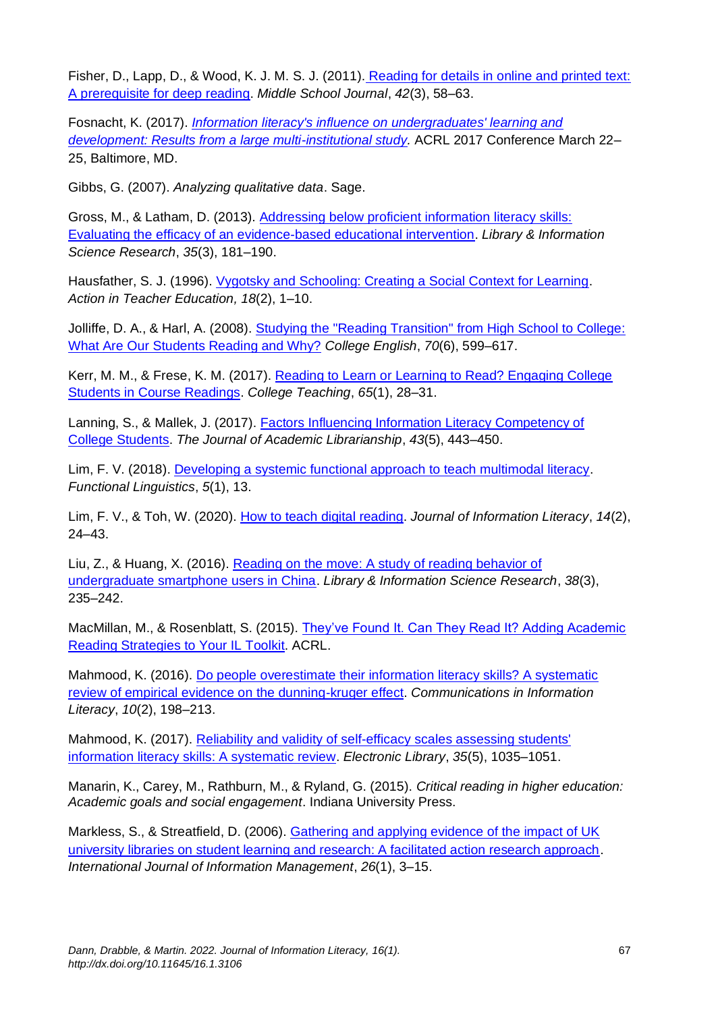Fisher, D., Lapp, D., & Wood, K. J. M. S. J. (2011). [Reading for details in online and printed text:](https://doi.org/10.1080/00940771.2011.11461767)  [A prerequisite for deep reading.](https://doi.org/10.1080/00940771.2011.11461767) *Middle School Journal*, *42*(3), 58–63.

Fosnacht, K. (2017). *[Information literacy's influence on undergraduates' learning and](http://www.ala.org/acrl/conferences/acrl2017/papers)  [development: Results from a large multi-institutional study.](http://www.ala.org/acrl/conferences/acrl2017/papers)* ACRL 2017 Conference March 22– 25, Baltimore, MD.

Gibbs, G. (2007). *Analyzing qualitative data*. Sage.

Gross, M., & Latham, D. (2013). [Addressing below proficient information literacy skills:](https://doi.org/10.1016/j.lisr.2013.03.001)  [Evaluating the efficacy of an evidence-based educational intervention.](https://doi.org/10.1016/j.lisr.2013.03.001) *Library & Information Science Research*, *35*(3), 181–190.

Hausfather, S. J. (1996). [Vygotsky and Schooling: Creating a Social Context for Learning.](https://doi.org/10.1080/01626620.1996.10462828) *Action in Teacher Education, 18*(2), 1–10.

Jolliffe, D. A., & Harl, A. (2008). [Studying the "Reading Transition" from High School to College:](https://www.jstor.org/stable/25472296)  [What Are Our Students Reading and Why?](https://www.jstor.org/stable/25472296) *College English*, *70*(6), 599–617.

Kerr, M. M., & Frese, K. M. (2017). [Reading to Learn or Learning to Read? Engaging College](https://doi.org/10.1080/87567555.2016.1222577)  [Students in Course Readings.](https://doi.org/10.1080/87567555.2016.1222577) *College Teaching*, *65*(1), 28–31.

Lanning, S., & Mallek, J. (2017). [Factors Influencing Information Literacy Competency of](https://doi.org/10.1016/j.acalib.2017.07.005)  [College Students.](https://doi.org/10.1016/j.acalib.2017.07.005) *The Journal of Academic Librarianship*, *43*(5), 443–450.

Lim, F. V. (2018). [Developing a systemic functional approach to teach multimodal literacy.](https://doi.org/10.1186/s40554-018-0066-8) *Functional Linguistics*, *5*(1), 13.

Lim, F. V., & Toh, W. (2020). [How to teach digital reading.](https://doi.org/10.11645/14.2.2701) *Journal of Information Literacy*, *14*(2), 24–43.

Liu, Z., & Huang, X. (2016). [Reading on the move: A study of reading behavior of](https://doi.org/10.1016/j.lisr.2016.08.007)  [undergraduate smartphone users in China.](https://doi.org/10.1016/j.lisr.2016.08.007) *Library & Information Science Research*, *38*(3), 235–242.

MacMillan, M., & Rosenblatt, S. (2015). [They've Found It. Can They Read It? Adding Academic](https://www.ala.org/acrl/sites/ala.org.acrl/files/content/conferences/confsandpreconfs/2015/MacMillan_Rosenblatt.pdf)  [Reading Strategies to Your IL Toolkit.](https://www.ala.org/acrl/sites/ala.org.acrl/files/content/conferences/confsandpreconfs/2015/MacMillan_Rosenblatt.pdf) ACRL.

Mahmood, K. (2016). [Do people overestimate their information literacy skills? A systematic](https://doi.org/10.15760/comminfolit.2016.10.2.24)  [review of empirical evidence on the dunning-kruger effect.](https://doi.org/10.15760/comminfolit.2016.10.2.24) *Communications in Information Literacy*, *10*(2), 198–213.

Mahmood, K. (2017). [Reliability and validity of self-efficacy scales assessing students'](https://doi.org/10.1108/EL-03-2016-0056)  [information literacy skills: A systematic review.](https://doi.org/10.1108/EL-03-2016-0056) *Electronic Library*, *35*(5), 1035–1051.

Manarin, K., Carey, M., Rathburn, M., & Ryland, G. (2015). *Critical reading in higher education: Academic goals and social engagement*. Indiana University Press.

Markless, S., & Streatfield, D. (2006). Gathering and applying evidence of the impact of UK [university libraries on student learning and research: A facilitated action research approach.](https://doi.org/10.1016/j.ijinfomgt.2005.10.004) *International Journal of Information Management*, *26*(1), 3–15.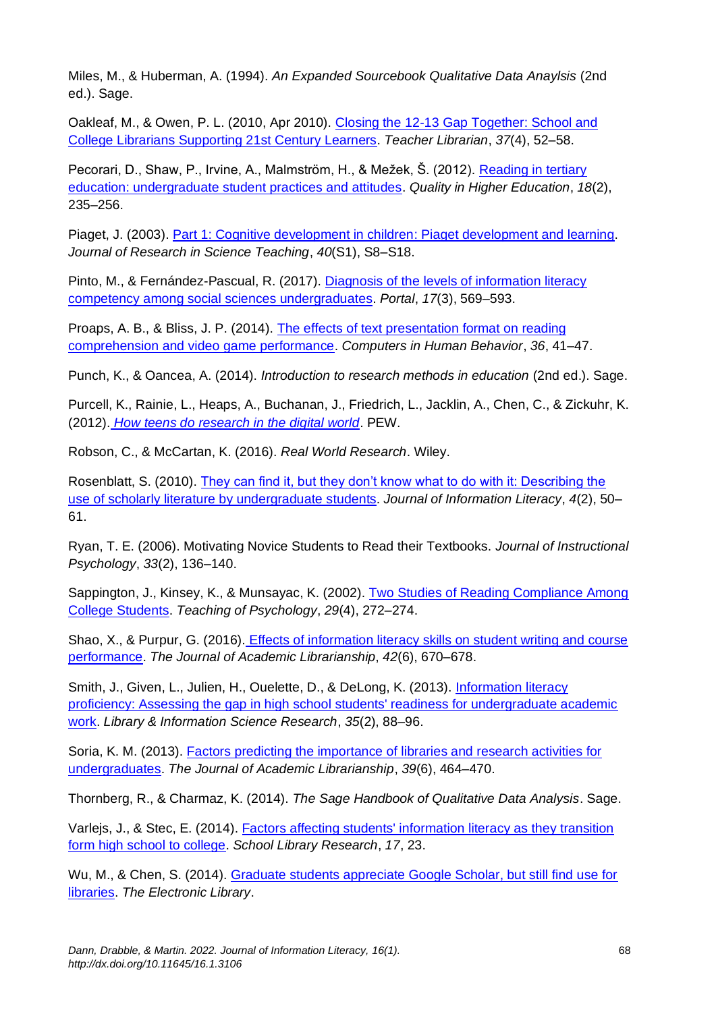Miles, M., & Huberman, A. (1994). *An Expanded Sourcebook Qualitative Data Anaylsis* (2nd ed.). Sage.

Oakleaf, M., & Owen, P. L. (2010, Apr 2010). [Closing the 12-13 Gap Together: School and](http://teacherlibrarian.com/wp-content/uploads/2017/06/Todarorequests/Oakleaf-Owen2.pdf)  [College Librarians Supporting 21st Century Learners.](http://teacherlibrarian.com/wp-content/uploads/2017/06/Todarorequests/Oakleaf-Owen2.pdf) *Teacher Librarian*, *37*(4), 52–58.

Pecorari, D., Shaw, P., Irvine, A., Malmström, H., & Mežek, Š. (2012). [Reading in tertiary](https://doi.org/10.1080/13538322.2012.706464)  [education: undergraduate student practices and attitudes.](https://doi.org/10.1080/13538322.2012.706464) *Quality in Higher Education*, *18*(2), 235–256.

Piaget, J. (2003). [Part 1: Cognitive development in children: Piaget development and learning.](https://doi.org/10.1002/tea.3660020306) *Journal of Research in Science Teaching*, *40*(S1), S8–S18.

Pinto, M., & Fernández-Pascual, R. (2017). [Diagnosis of the levels of information literacy](https://doi.org/10.1353/pla.2017.0035)  [competency among social sciences undergraduates.](https://doi.org/10.1353/pla.2017.0035) *Portal*, *17*(3), 569–593.

Proaps, A. B., & Bliss, J. P. (2014). [The effects of text presentation format on reading](https://doi.org/10.1016/j.chb.2014.03.039)  [comprehension and video game performance.](https://doi.org/10.1016/j.chb.2014.03.039) *Computers in Human Behavior*, *36*, 41–47.

Punch, K., & Oancea, A. (2014). *Introduction to research methods in education* (2nd ed.). Sage.

Purcell, K., Rainie, L., Heaps, A., Buchanan, J., Friedrich, L., Jacklin, A., Chen, C., & Zickuhr, K. (2012). *[How teens do research in the digital world](https://www.pewresearch.org/internet/2012/11/01/how-teens-do-research-in-the-digital-world/)*. PEW.

Robson, C., & McCartan, K. (2016). *Real World Research*. Wiley.

Rosenblatt, S. (2010). [They can find it, but they don't know what to do with it: Describing the](https://doi.org/10.11645/4.2.1486)  [use of scholarly literature by undergraduate students.](https://doi.org/10.11645/4.2.1486) *Journal of Information Literacy*, *4*(2), 50– 61.

Ryan, T. E. (2006). Motivating Novice Students to Read their Textbooks. *Journal of Instructional Psychology*, *33*(2), 136–140.

Sappington, J., Kinsey, K., & Munsayac, K. (2002). [Two Studies of Reading Compliance Among](https://doi.org/10.1207/S15328023TOP2904_02)  [College Students.](https://doi.org/10.1207/S15328023TOP2904_02) *Teaching of Psychology*, *29*(4), 272–274.

Shao, X., & Purpur, G. (2016). [Effects of information literacy skills on student writing and course](https://doi.org/10.1016/j.acalib.2016.08.006)  [performance.](https://doi.org/10.1016/j.acalib.2016.08.006) *The Journal of Academic Librarianship*, *42*(6), 670–678.

Smith, J., Given, L., Julien, H., Ouelette, D., & DeLong, K. (2013). [Information literacy](https://doi.org/10.1016/j.lisr.2012.12.001)  [proficiency: Assessing the gap in high school students' readiness for undergraduate academic](https://doi.org/10.1016/j.lisr.2012.12.001)  [work.](https://doi.org/10.1016/j.lisr.2012.12.001) *Library & Information Science Research*, *35*(2), 88–96.

Soria, K. M. (2013). [Factors predicting the importance of libraries and research activities for](https://doi.org/10.1016/j.acalib.2013.08.017)  [undergraduates.](https://doi.org/10.1016/j.acalib.2013.08.017) *The Journal of Academic Librarianship*, *39*(6), 464–470.

Thornberg, R., & Charmaz, K. (2014). *The Sage Handbook of Qualitative Data Analysis*. Sage.

Varlejs, J., & Stec, E. (2014). [Factors affecting students' information literacy as they transition](https://doi.org/10.26716/redlands/doctor/2011.4)  [form high school to college.](https://doi.org/10.26716/redlands/doctor/2011.4) *School Library Research*, *17*, 23.

Wu, M., & Chen, S. (2014). [Graduate students appreciate Google Scholar, but still find use for](https://doi.org/10.1108/EL-08-2012-0102)  [libraries.](https://doi.org/10.1108/EL-08-2012-0102) *The Electronic Library*.